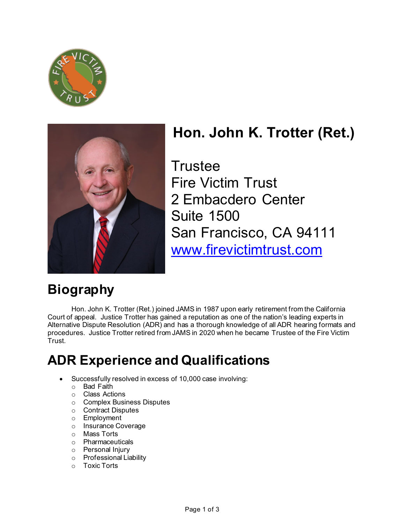



# **Hon. John K. Trotter (Ret.)**

**Trustee** Fire Victim Trust 2 Embacdero Center Suite 1500 San Francisco, CA 94111 [www.firevictimtrust.com](http://www.firevictimtrust.com/)

## **Biography**

Hon. John K. Trotter (Ret.) joined JAMS in 1987 upon early retirement from the California Court of appeal. Justice Trotter has gained a reputation as one of the nation's leading experts in Alternative Dispute Resolution (ADR) and has a thorough knowledge of all ADR hearing formats and procedures. Justice Trotter retired from JAMS in 2020 when he became Trustee of the Fire Victim Trust.

# **ADR Experience and Qualifications**

- Successfully resolved in excess of 10,000 case involving:
	- o Bad Faith
	- o Class Actions
	- o Complex Business Disputes
	- o Contract Disputes
	- o Employment
	- o Insurance Coverage
	- o Mass Torts
	- o Pharmaceuticals
	- o Personal Injury
	- o Professional Liability
	- o Toxic Torts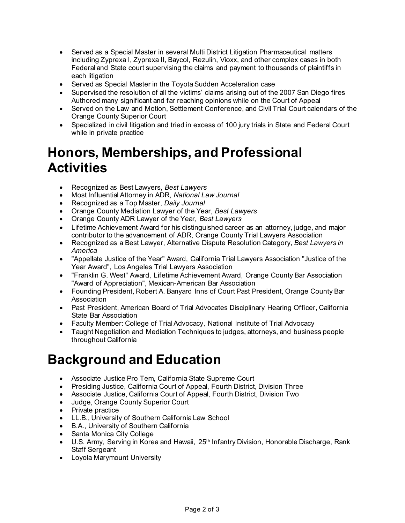- Served as a Special Master in several Multi District Litigation Pharmaceutical matters including Zyprexa I, Zyprexa II, Baycol, Rezulin, Vioxx, and other complex cases in both Federal and State court supervising the claims and payment to thousands of plaintiffs in each litigation
- Served as Special Master in the Toyota Sudden Acceleration case
- Supervised the resolution of all the victims' claims arising out of the 2007 San Diego fires Authored many significant and far reaching opinions while on the Court of Appeal
- Served on the Law and Motion, Settlement Conference, and Civil Trial Court calendars of the Orange County Superior Court
- Specialized in civil litigation and tried in excess of 100 jury trials in State and Federal Court while in private practice

#### **Honors, Memberships, and Professional Activities**

- Recognized as Best Lawyers, *Best Lawyers*
- Most Influential Attorney in ADR, *National Law Journal*
- Recognized as a Top Master, *Daily Journal*
- Orange County Mediation Lawyer of the Year, *Best Lawyers*
- Orange County ADR Lawyer of the Year, *Best Lawyers*
- Lifetime Achievement Award for his distinguished career as an attorney, judge, and major contributor to the advancement of ADR, Orange County Trial Lawyers Association
- Recognized as a Best Lawyer, Alternative Dispute Resolution Category, *Best Lawyers in America*
- "Appellate Justice of the Year" Award, California Trial Lawyers Association "Justice of the Year Award", Los Angeles Trial Lawyers Association
- "Franklin G. West" Award, Lifetime Achievement Award, Orange County Bar Association "Award of Appreciation", Mexican-American Bar Association
- Founding President, Robert A. Banyard Inns of Court Past President, Orange County Bar Association
- Past President, American Board of Trial Advocates Disciplinary Hearing Officer, California State Bar Association
- Faculty Member: College of Trial Advocacy, National Institute of Trial Advocacy
- Taught Negotiation and Mediation Techniques to judges, attorneys, and business people throughout California

#### **Background and Education**

- Associate Justice Pro Tem, California State Supreme Court
- Presiding Justice, California Court of Appeal, Fourth District, Division Three
- Associate Justice, California Court of Appeal, Fourth District, Division Two
- Judge, Orange County Superior Court
- Private practice
- LL.B., University of Southern California Law School
- B.A., University of Southern California
- Santa Monica City College
- U.S. Army, Serving in Korea and Hawaii, 25<sup>th</sup> Infantry Division, Honorable Discharge, Rank Staff Sergeant
- Loyola Marymount University